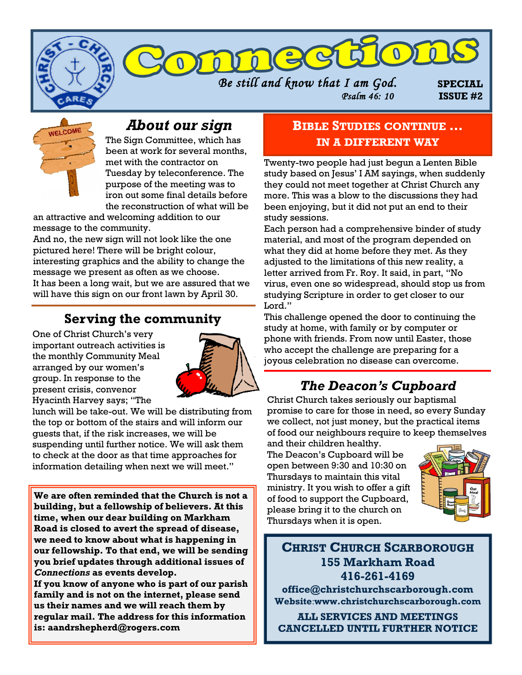



# *About our sign*

The Sign Committee, which has been at work for several months, met with the contractor on Tuesday by teleconference. The purpose of the meeting was to iron out some final details before the reconstruction of what will be

an attractive and welcoming addition to our message to the community.

And no, the new sign will not look like the one pictured here! There will be bright colour, interesting graphics and the ability to change the message we present as often as we choose. It has been a long wait, but we are assured that we will have this sign on our front lawn by April 30.

### **Serving the community**

One of Christ Church's very important outreach activities is the monthly Community Meal arranged by our women's group. In response to the present crisis, convenor Hyacinth Harvey says; "The



lunch will be take-out. We will be distributing from the top or bottom of the stairs and will inform our guests that, if the risk increases, we will be suspending until further notice. We will ask them to check at the door as that time approaches for information detailing when next we will meet."

**We are often reminded that the Church is not a building, but a fellowship of believers. At this time, when our dear building on Markham Road is closed to avert the spread of disease, we need to know about what is happening in our fellowship. To that end, we will be sending you brief updates through additional issues of**  *Connections* **as events develop.** 

**If you know of anyone who is part of our parish family and is not on the internet, please send us their names and we will reach them by regular mail. The address for this information is: aandrshepherd@rogers.com**

### **BIBLE STUDIES CONTINUE … IN A DIFFERENT WAY**

Twenty-two people had just begun a Lenten Bible study based on Jesus' I AM sayings, when suddenly they could not meet together at Christ Church any more. This was a blow to the discussions they had been enjoying, but it did not put an end to their study sessions.

Each person had a comprehensive binder of study material, and most of the program depended on what they did at home before they met. As they adjusted to the limitations of this new reality, a letter arrived from Fr. Roy. It said, in part, "No virus, even one so widespread, should stop us from studying Scripture in order to get closer to our Lord."

This challenge opened the door to continuing the study at home, with family or by computer or phone with friends. From now until Easter, those who accept the challenge are preparing for a joyous celebration no disease can overcome.

# *The Deacon's Cupboard*

Christ Church takes seriously our baptismal promise to care for those in need, so every Sunday we collect, not just money, but the practical items of food our neighbours require to keep themselves

and their children healthy. The Deacon's Cupboard will be open between 9:30 and 10:30 on Thursdays to maintain this vital ministry. It you wish to offer a gift of food to support the Cupboard, please bring it to the church on Thursdays when it is open.



**CHRIST CHURCH SCARBOROUGH 155 Markham Road 416-261-4169 office@christchurchscarborough.com Website**:**www.christchurchscarborough.com**

**ALL SERVICES AND MEETINGS CANCELLED UNTIL FURTHER NOTICE**